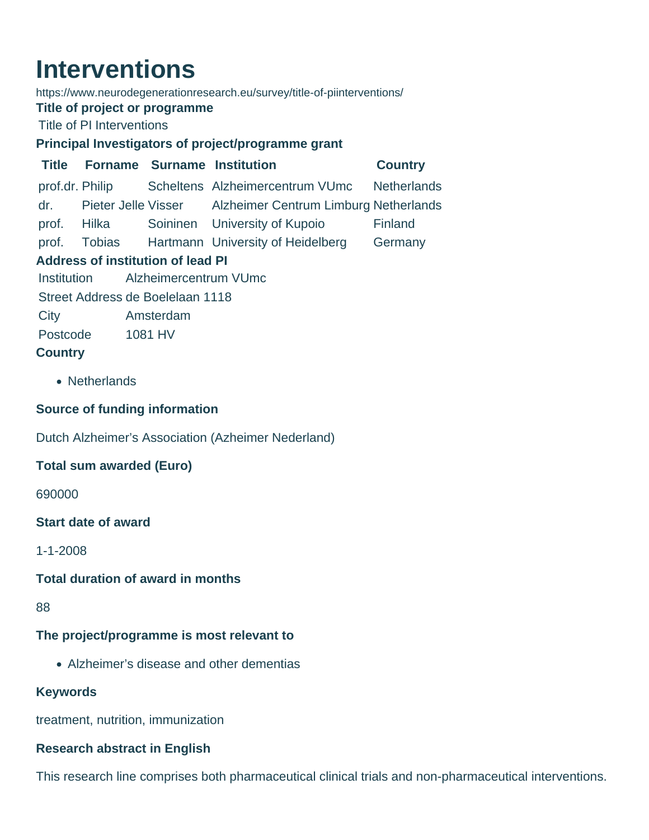# **Interventions**

https://www.neurodegenerationresearch.eu/survey/title-of-piinterventions/

#### **Title of project or programme**

Title of PI Interventions

# **Principal Investigators of project/programme grant**

**Title Forname Surname Institution Country** prof.dr. Philip Scheltens Alzheimercentrum VUmc Netherlands dr. Pieter Jelle Visser Alzheimer Centrum Limburg Netherlands prof. Hilka Soininen University of Kupoio Finland prof. Tobias Hartmann University of Heidelberg Germany **Address of institution of lead PI** Institution Alzheimercentrum VUmc Street Address de Boelelaan 1118 City Amsterdam Postcode 1081 HV

# **Country**

• Netherlands

# **Source of funding information**

Dutch Alzheimer's Association (Azheimer Nederland)

# **Total sum awarded (Euro)**

690000

#### **Start date of award**

1-1-2008

#### **Total duration of award in months**

88

# **The project/programme is most relevant to**

Alzheimer's disease and other dementias

# **Keywords**

treatment, nutrition, immunization

# **Research abstract in English**

This research line comprises both pharmaceutical clinical trials and non-pharmaceutical interventions.